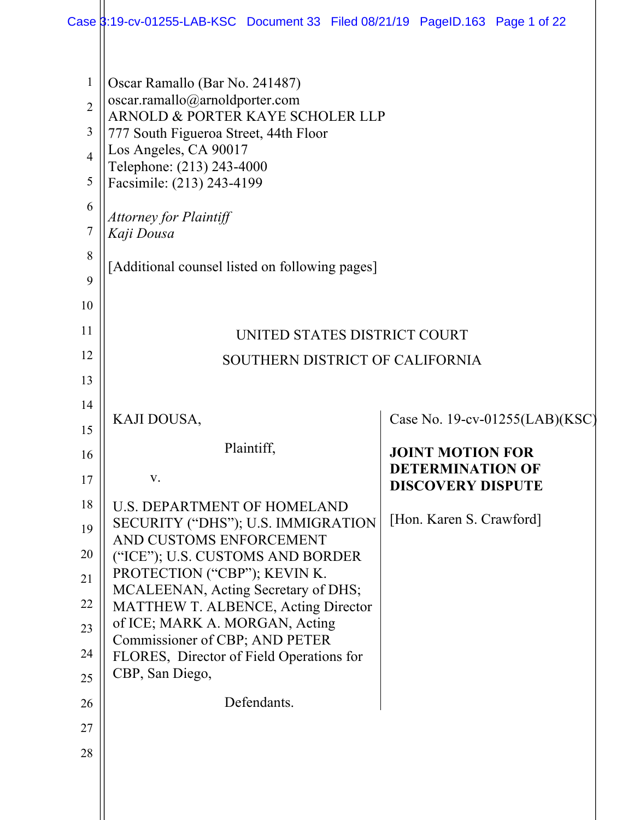|                                                                                | Case 3:19-cv-01255-LAB-KSC Document 33 Filed 08/21/19 PageID.163 Page 1 of 22                                                                                                                                                                                                                                                     |                                                     |
|--------------------------------------------------------------------------------|-----------------------------------------------------------------------------------------------------------------------------------------------------------------------------------------------------------------------------------------------------------------------------------------------------------------------------------|-----------------------------------------------------|
| $\mathbf{1}$<br>$\overline{2}$<br>3<br>$\overline{4}$<br>5<br>6<br>7<br>8<br>9 | Oscar Ramallo (Bar No. 241487)<br>oscar.ramallo@arnoldporter.com<br>ARNOLD & PORTER KAYE SCHOLER LLP<br>777 South Figueroa Street, 44th Floor<br>Los Angeles, CA 90017<br>Telephone: (213) 243-4000<br>Facsimile: (213) 243-4199<br><b>Attorney for Plaintiff</b><br>Kaji Dousa<br>[Additional counsel listed on following pages] |                                                     |
| 10                                                                             |                                                                                                                                                                                                                                                                                                                                   |                                                     |
| 11                                                                             | UNITED STATES DISTRICT COURT                                                                                                                                                                                                                                                                                                      |                                                     |
| 12                                                                             | SOUTHERN DISTRICT OF CALIFORNIA                                                                                                                                                                                                                                                                                                   |                                                     |
| 13                                                                             |                                                                                                                                                                                                                                                                                                                                   |                                                     |
| 14                                                                             |                                                                                                                                                                                                                                                                                                                                   |                                                     |
| 15                                                                             | KAJI DOUSA,                                                                                                                                                                                                                                                                                                                       | Case No. 19-cv-01255(LAB)(KSC)                      |
| 16                                                                             | Plaintiff,                                                                                                                                                                                                                                                                                                                        | <b>JOINT MOTION FOR</b>                             |
| 17                                                                             | V.                                                                                                                                                                                                                                                                                                                                | <b>DETERMINATION OF</b><br><b>DISCOVERY DISPUTE</b> |
|                                                                                |                                                                                                                                                                                                                                                                                                                                   |                                                     |
| 18                                                                             | <b>U.S. DEPARTMENT OF HOMELAND</b>                                                                                                                                                                                                                                                                                                |                                                     |
| 19                                                                             | SECURITY ("DHS"); U.S. IMMIGRATION                                                                                                                                                                                                                                                                                                | [Hon. Karen S. Crawford]                            |
| 20                                                                             | AND CUSTOMS ENFORCEMENT<br>("ICE"); U.S. CUSTOMS AND BORDER                                                                                                                                                                                                                                                                       |                                                     |
| 21                                                                             | PROTECTION ("CBP"); KEVIN K.                                                                                                                                                                                                                                                                                                      |                                                     |
| 22                                                                             | MCALEENAN, Acting Secretary of DHS;<br>MATTHEW T. ALBENCE, Acting Director                                                                                                                                                                                                                                                        |                                                     |
| 23                                                                             | of ICE; MARK A. MORGAN, Acting<br>Commissioner of CBP; AND PETER                                                                                                                                                                                                                                                                  |                                                     |
| 24                                                                             | FLORES, Director of Field Operations for                                                                                                                                                                                                                                                                                          |                                                     |
| 25                                                                             | CBP, San Diego,                                                                                                                                                                                                                                                                                                                   |                                                     |
| 26                                                                             | Defendants.                                                                                                                                                                                                                                                                                                                       |                                                     |
| 27                                                                             |                                                                                                                                                                                                                                                                                                                                   |                                                     |
| 28                                                                             |                                                                                                                                                                                                                                                                                                                                   |                                                     |
|                                                                                |                                                                                                                                                                                                                                                                                                                                   |                                                     |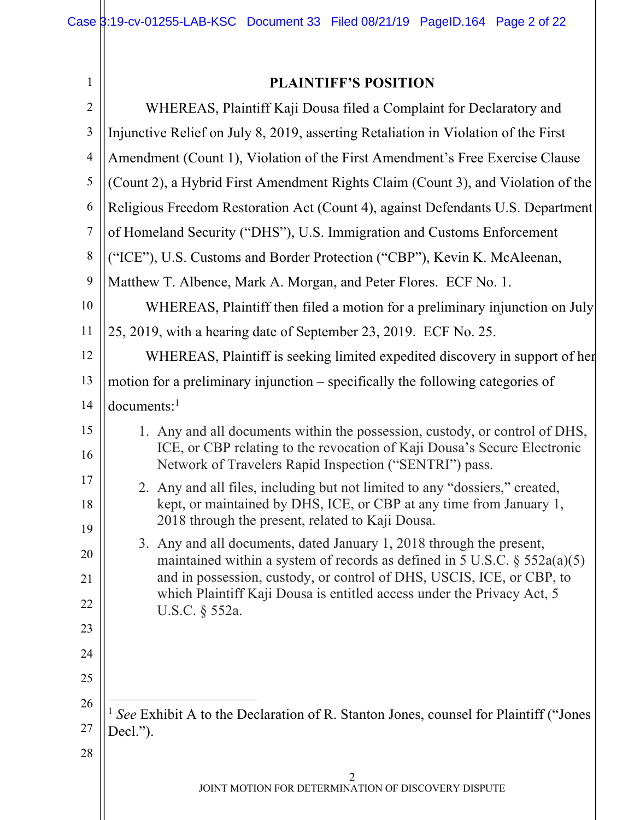| 1              | <b>PLAINTIFF'S POSITION</b>                                                                                                                                                                                                                                                                                               |  |
|----------------|---------------------------------------------------------------------------------------------------------------------------------------------------------------------------------------------------------------------------------------------------------------------------------------------------------------------------|--|
| 2              | WHEREAS, Plaintiff Kaji Dousa filed a Complaint for Declaratory and                                                                                                                                                                                                                                                       |  |
| 3              | Injunctive Relief on July 8, 2019, asserting Retaliation in Violation of the First                                                                                                                                                                                                                                        |  |
| $\overline{4}$ | Amendment (Count 1), Violation of the First Amendment's Free Exercise Clause                                                                                                                                                                                                                                              |  |
| 5              | (Count 2), a Hybrid First Amendment Rights Claim (Count 3), and Violation of the                                                                                                                                                                                                                                          |  |
| 6              | Religious Freedom Restoration Act (Count 4), against Defendants U.S. Department                                                                                                                                                                                                                                           |  |
| $\overline{7}$ | of Homeland Security ("DHS"), U.S. Immigration and Customs Enforcement                                                                                                                                                                                                                                                    |  |
| 8              | ("ICE"), U.S. Customs and Border Protection ("CBP"), Kevin K. McAleenan,                                                                                                                                                                                                                                                  |  |
| 9              | Matthew T. Albence, Mark A. Morgan, and Peter Flores. ECF No. 1.                                                                                                                                                                                                                                                          |  |
| 10             | WHEREAS, Plaintiff then filed a motion for a preliminary injunction on July                                                                                                                                                                                                                                               |  |
| 11             | 25, 2019, with a hearing date of September 23, 2019. ECF No. 25.                                                                                                                                                                                                                                                          |  |
| 12             | WHEREAS, Plaintiff is seeking limited expedited discovery in support of her                                                                                                                                                                                                                                               |  |
| 13             | motion for a preliminary injunction – specifically the following categories of                                                                                                                                                                                                                                            |  |
| 14             | documents <sup>1</sup>                                                                                                                                                                                                                                                                                                    |  |
| 15<br>16       | 1. Any and all documents within the possession, custody, or control of DHS,<br>ICE, or CBP relating to the revocation of Kaji Dousa's Secure Electronic<br>Network of Travelers Rapid Inspection ("SENTRI") pass.                                                                                                         |  |
| 17<br>18<br>19 | 2. Any and all files, including but not limited to any "dossiers," created,<br>kept, or maintained by DHS, ICE, or CBP at any time from January 1,<br>2018 through the present, related to Kaji Dousa.                                                                                                                    |  |
| 20<br>21<br>22 | 3. Any and all documents, dated January 1, 2018 through the present,<br>maintained within a system of records as defined in 5 U.S.C. $\S$ 552a(a)(5)<br>and in possession, custody, or control of DHS, USCIS, ICE, or CBP, to<br>which Plaintiff Kaji Dousa is entitled access under the Privacy Act, 5<br>U.S.C. § 552a. |  |
| 23<br>24       |                                                                                                                                                                                                                                                                                                                           |  |
| 25             |                                                                                                                                                                                                                                                                                                                           |  |
| 26             |                                                                                                                                                                                                                                                                                                                           |  |
| 27             | See Exhibit A to the Declaration of R. Stanton Jones, counsel for Plaintiff ("Jones<br>Decl.").                                                                                                                                                                                                                           |  |
| 28             |                                                                                                                                                                                                                                                                                                                           |  |
|                | JOINT MOTION FOR DETERMINATION OF DISCOVERY DISPUTE                                                                                                                                                                                                                                                                       |  |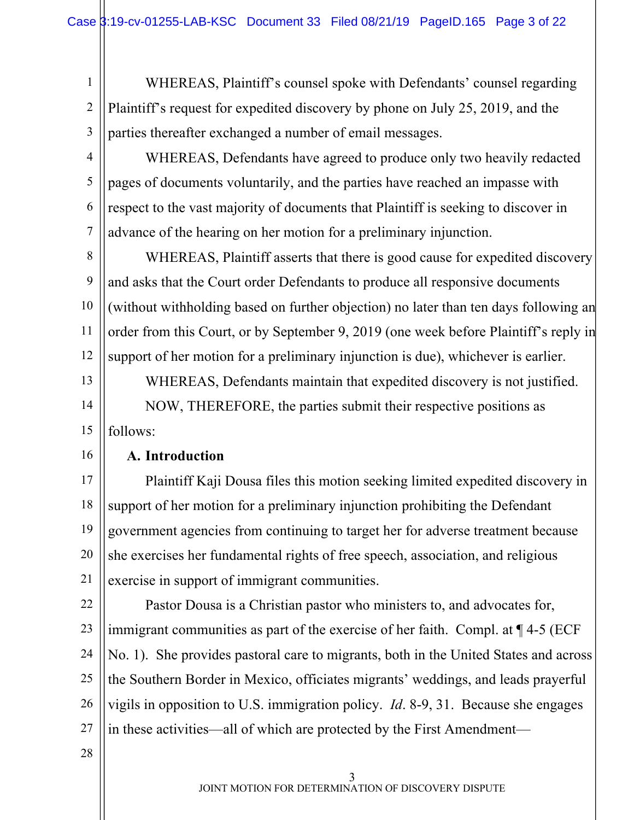1 2 3 WHEREAS, Plaintiff's counsel spoke with Defendants' counsel regarding Plaintiff's request for expedited discovery by phone on July 25, 2019, and the parties thereafter exchanged a number of email messages.

4

5

6

7

WHEREAS, Defendants have agreed to produce only two heavily redacted pages of documents voluntarily, and the parties have reached an impasse with respect to the vast majority of documents that Plaintiff is seeking to discover in advance of the hearing on her motion for a preliminary injunction.

8 9 10 11 12 WHEREAS, Plaintiff asserts that there is good cause for expedited discovery and asks that the Court order Defendants to produce all responsive documents (without withholding based on further objection) no later than ten days following an order from this Court, or by September 9, 2019 (one week before Plaintiff's reply in support of her motion for a preliminary injunction is due), whichever is earlier.

13 14 15 WHEREAS, Defendants maintain that expedited discovery is not justified. NOW, THEREFORE, the parties submit their respective positions as follows:

#### 16

### **A. Introduction**

17 18 19 20 21 Plaintiff Kaji Dousa files this motion seeking limited expedited discovery in support of her motion for a preliminary injunction prohibiting the Defendant government agencies from continuing to target her for adverse treatment because she exercises her fundamental rights of free speech, association, and religious exercise in support of immigrant communities.

22 23 24 25 26 27 Pastor Dousa is a Christian pastor who ministers to, and advocates for, immigrant communities as part of the exercise of her faith. Compl. at ¶ 4-5 (ECF No. 1). She provides pastoral care to migrants, both in the United States and across the Southern Border in Mexico, officiates migrants' weddings, and leads prayerful vigils in opposition to U.S. immigration policy. *Id*. 8-9, 31. Because she engages in these activities—all of which are protected by the First Amendment—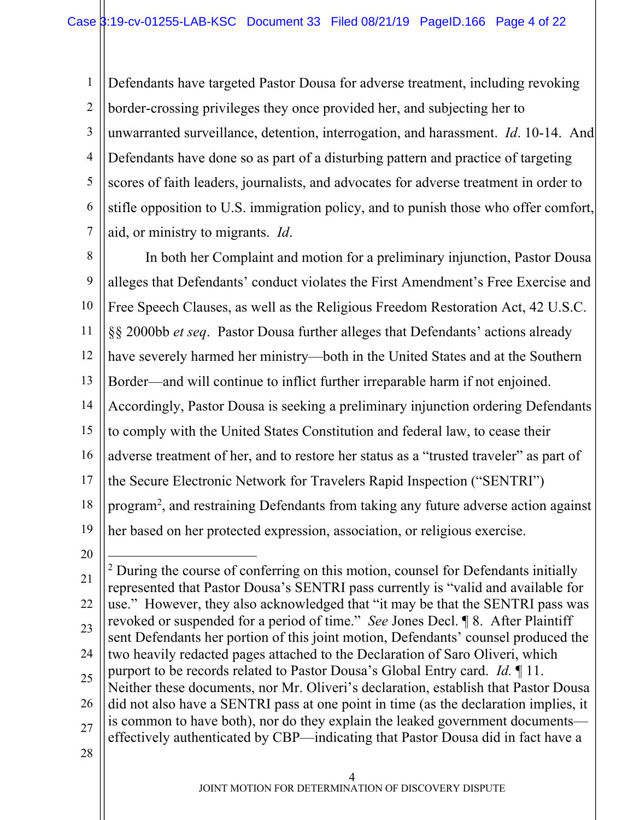1 2 3 4 5 6 7 Defendants have targeted Pastor Dousa for adverse treatment, including revoking border-crossing privileges they once provided her, and subjecting her to unwarranted surveillance, detention, interrogation, and harassment. *Id*. 10-14. And Defendants have done so as part of a disturbing pattern and practice of targeting scores of faith leaders, journalists, and advocates for adverse treatment in order to stifle opposition to U.S. immigration policy, and to punish those who offer comfort, aid, or ministry to migrants. *Id*.

8 9 10 11 12 13 14 15 16 17 18 19 In both her Complaint and motion for a preliminary injunction, Pastor Dousa alleges that Defendants' conduct violates the First Amendment's Free Exercise and Free Speech Clauses, as well as the Religious Freedom Restoration Act, 42 U.S.C. §§ 2000bb *et seq*. Pastor Dousa further alleges that Defendants' actions already have severely harmed her ministry—both in the United States and at the Southern Border—and will continue to inflict further irreparable harm if not enjoined. Accordingly, Pastor Dousa is seeking a preliminary injunction ordering Defendants to comply with the United States Constitution and federal law, to cease their adverse treatment of her, and to restore her status as a "trusted traveler" as part of the Secure Electronic Network for Travelers Rapid Inspection ("SENTRI") program<sup>2</sup>, and restraining Defendants from taking any future adverse action against her based on her protected expression, association, or religious exercise.

20

21 22 23 24 25 26 27 28  $2$  During the course of conferring on this motion, counsel for Defendants initially represented that Pastor Dousa's SENTRI pass currently is "valid and available for use." However, they also acknowledged that "it may be that the SENTRI pass was revoked or suspended for a period of time." *See* Jones Decl. ¶ 8. After Plaintiff sent Defendants her portion of this joint motion, Defendants' counsel produced the two heavily redacted pages attached to the Declaration of Saro Oliveri, which purport to be records related to Pastor Dousa's Global Entry card. *Id.* ¶ 11. Neither these documents, nor Mr. Oliveri's declaration, establish that Pastor Dousa did not also have a SENTRI pass at one point in time (as the declaration implies, it is common to have both), nor do they explain the leaked government documents effectively authenticated by CBP—indicating that Pastor Dousa did in fact have a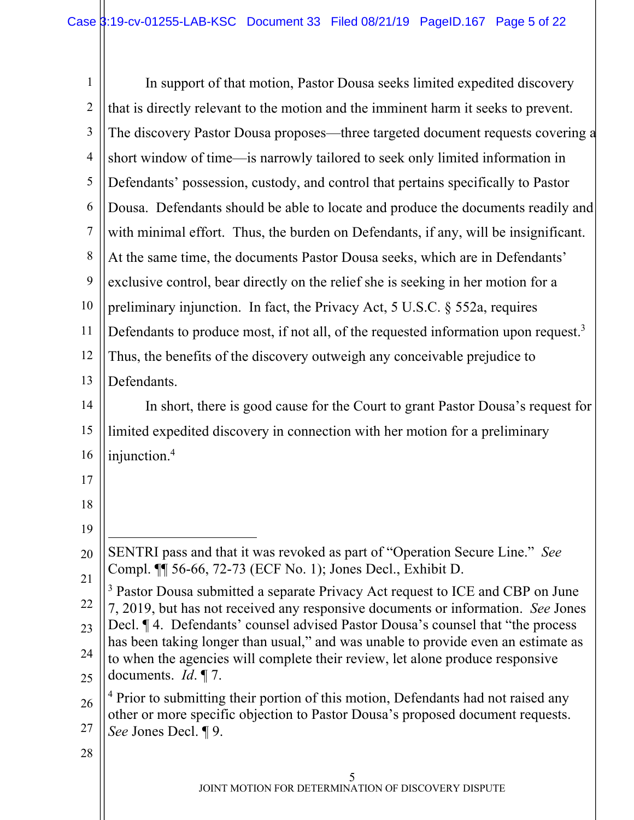| $\mathbf{1}$   | In support of that motion, Pastor Dousa seeks limited expedited discovery                                                                                           |  |
|----------------|---------------------------------------------------------------------------------------------------------------------------------------------------------------------|--|
| $\overline{2}$ | that is directly relevant to the motion and the imminent harm it seeks to prevent.                                                                                  |  |
| $\mathfrak{Z}$ | The discovery Pastor Dousa proposes—three targeted document requests covering a                                                                                     |  |
| $\overline{4}$ | short window of time—is narrowly tailored to seek only limited information in                                                                                       |  |
| 5              | Defendants' possession, custody, and control that pertains specifically to Pastor                                                                                   |  |
| 6              | Dousa. Defendants should be able to locate and produce the documents readily and                                                                                    |  |
| $\overline{7}$ | with minimal effort. Thus, the burden on Defendants, if any, will be insignificant.                                                                                 |  |
| 8              | At the same time, the documents Pastor Dousa seeks, which are in Defendants'                                                                                        |  |
| 9              | exclusive control, bear directly on the relief she is seeking in her motion for a                                                                                   |  |
| 10             | preliminary injunction. In fact, the Privacy Act, 5 U.S.C. § 552a, requires                                                                                         |  |
| 11             | Defendants to produce most, if not all, of the requested information upon request. <sup>3</sup>                                                                     |  |
| 12             | Thus, the benefits of the discovery outweigh any conceivable prejudice to                                                                                           |  |
| 13             | Defendants.                                                                                                                                                         |  |
| 14             | In short, there is good cause for the Court to grant Pastor Dousa's request for                                                                                     |  |
| 15             | limited expedited discovery in connection with her motion for a preliminary                                                                                         |  |
| 16             | injunction. <sup>4</sup>                                                                                                                                            |  |
| 17             |                                                                                                                                                                     |  |
| 18             |                                                                                                                                                                     |  |
| 19             |                                                                                                                                                                     |  |
| 20             | SENTRI pass and that it was revoked as part of "Operation Secure Line." See<br>Compl. ¶ 56-66, 72-73 (ECF No. 1); Jones Decl., Exhibit D.                           |  |
| 21             | <sup>3</sup> Pastor Dousa submitted a separate Privacy Act request to ICE and CBP on June                                                                           |  |
| 22             | 7, 2019, but has not received any responsive documents or information. See Jones<br>Decl. ¶ 4. Defendants' counsel advised Pastor Dousa's counsel that "the process |  |
| 23             | has been taking longer than usual," and was unable to provide even an estimate as                                                                                   |  |
| 24<br>25       | to when the agencies will complete their review, let alone produce responsive<br>documents. $Id. \P$ 7.                                                             |  |
| 26             | <sup>4</sup> Prior to submitting their portion of this motion, Defendants had not raised any                                                                        |  |
| 27             | other or more specific objection to Pastor Dousa's proposed document requests.<br>See Jones Decl. ¶ 9.                                                              |  |
| 28             |                                                                                                                                                                     |  |
|                | 5                                                                                                                                                                   |  |
|                | JOINT MOTION FOR DETERMINATION OF DISCOVERY DISPUTE                                                                                                                 |  |

 $\parallel$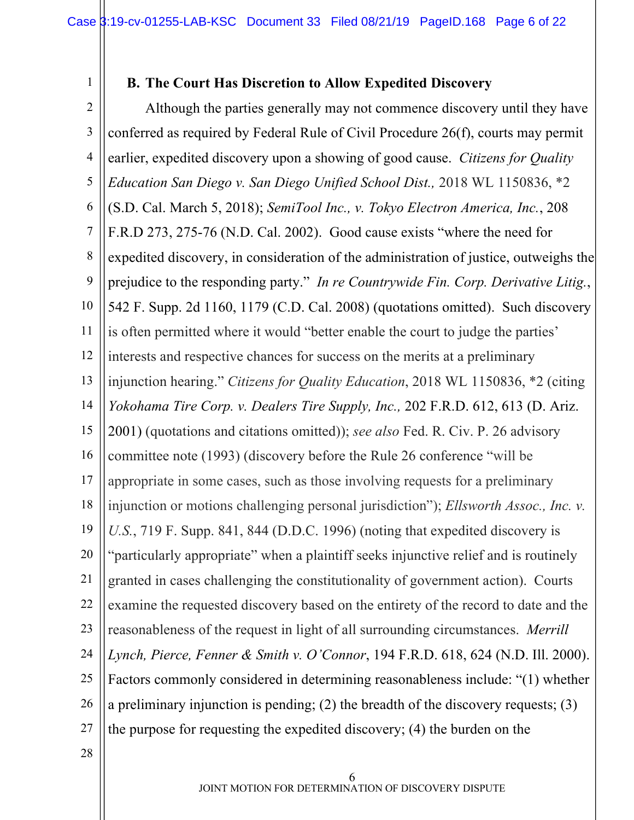1

### **B. The Court Has Discretion to Allow Expedited Discovery**

2 3 4 5 6 7 8 9 10 11 12 13 14 15 16 17 18 19 20 21 22 23 24 25 26 27 28 Although the parties generally may not commence discovery until they have conferred as required by Federal Rule of Civil Procedure 26(f), courts may permit earlier, expedited discovery upon a showing of good cause. *Citizens for Quality Education San Diego v. San Diego Unified School Dist.,* 2018 WL 1150836, \*2 (S.D. Cal. March 5, 2018); *SemiTool Inc., v. Tokyo Electron America, Inc.*, 208 F.R.D 273, 275-76 (N.D. Cal. 2002). Good cause exists "where the need for expedited discovery, in consideration of the administration of justice, outweighs the prejudice to the responding party." *In re Countrywide Fin. Corp. Derivative Litig.*, 542 F. Supp. 2d 1160, 1179 (C.D. Cal. 2008) (quotations omitted). Such discovery is often permitted where it would "better enable the court to judge the parties' interests and respective chances for success on the merits at a preliminary injunction hearing." *Citizens for Quality Education*, 2018 WL 1150836, \*2 (citing *Yokohama Tire Corp. v. Dealers Tire Supply, Inc.,* 202 F.R.D. 612, 613 (D. Ariz. 2001) (quotations and citations omitted)); *see also* Fed. R. Civ. P. 26 advisory committee note (1993) (discovery before the Rule 26 conference "will be appropriate in some cases, such as those involving requests for a preliminary injunction or motions challenging personal jurisdiction"); *Ellsworth Assoc., Inc. v. U.S.*, 719 F. Supp. 841, 844 (D.D.C. 1996) (noting that expedited discovery is "particularly appropriate" when a plaintiff seeks injunctive relief and is routinely granted in cases challenging the constitutionality of government action). Courts examine the requested discovery based on the entirety of the record to date and the reasonableness of the request in light of all surrounding circumstances. *Merrill Lynch, Pierce, Fenner & Smith v. O'Connor*, 194 F.R.D. 618, 624 (N.D. Ill. 2000). Factors commonly considered in determining reasonableness include: "(1) whether a preliminary injunction is pending; (2) the breadth of the discovery requests; (3) the purpose for requesting the expedited discovery; (4) the burden on the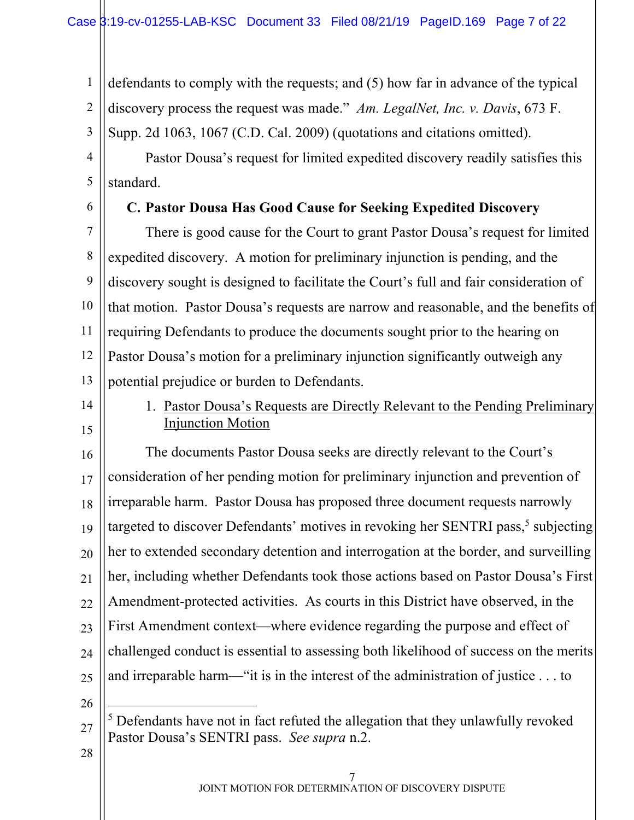1 2 3 defendants to comply with the requests; and (5) how far in advance of the typical discovery process the request was made." *Am. LegalNet, Inc. v. Davis*, 673 F. Supp. 2d 1063, 1067 (C.D. Cal. 2009) (quotations and citations omitted).

4 5 Pastor Dousa's request for limited expedited discovery readily satisfies this standard.

6

# **C. Pastor Dousa Has Good Cause for Seeking Expedited Discovery**

7 8 9 10 11 12 13 There is good cause for the Court to grant Pastor Dousa's request for limited expedited discovery. A motion for preliminary injunction is pending, and the discovery sought is designed to facilitate the Court's full and fair consideration of that motion. Pastor Dousa's requests are narrow and reasonable, and the benefits of requiring Defendants to produce the documents sought prior to the hearing on Pastor Dousa's motion for a preliminary injunction significantly outweigh any potential prejudice or burden to Defendants.

14

15

1. Pastor Dousa's Requests are Directly Relevant to the Pending Preliminary Injunction Motion

16 17 18 19 20 21 22 23 24 25 The documents Pastor Dousa seeks are directly relevant to the Court's consideration of her pending motion for preliminary injunction and prevention of irreparable harm. Pastor Dousa has proposed three document requests narrowly targeted to discover Defendants' motives in revoking her SENTRI pass,<sup>5</sup> subjecting her to extended secondary detention and interrogation at the border, and surveilling her, including whether Defendants took those actions based on Pastor Dousa's First Amendment-protected activities. As courts in this District have observed, in the First Amendment context—where evidence regarding the purpose and effect of challenged conduct is essential to assessing both likelihood of success on the merits and irreparable harm—"it is in the interest of the administration of justice . . . to

26

<sup>27</sup>  $5$  Defendants have not in fact refuted the allegation that they unlawfully revoked Pastor Dousa's SENTRI pass. *See supra* n.2.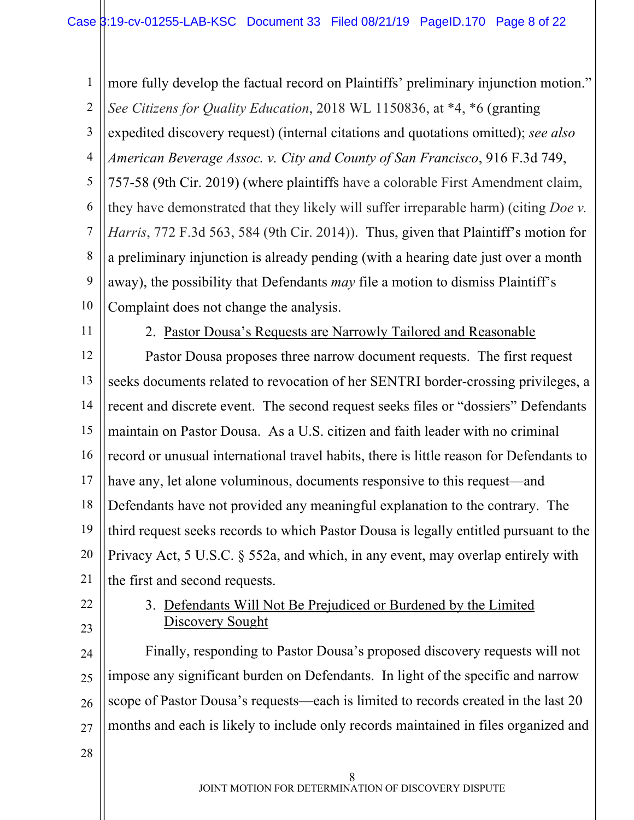1 2 3 4 5 6 7 8 9 10 more fully develop the factual record on Plaintiffs' preliminary injunction motion." *See Citizens for Quality Education*, 2018 WL 1150836, at \*4, \*6 (granting expedited discovery request) (internal citations and quotations omitted); *see also American Beverage Assoc. v. City and County of San Francisco*, 916 F.3d 749, 757-58 (9th Cir. 2019) (where plaintiffs have a colorable First Amendment claim, they have demonstrated that they likely will suffer irreparable harm) (citing *Doe v. Harris*, 772 F.3d 563, 584 (9th Cir. 2014)). Thus, given that Plaintiff's motion for a preliminary injunction is already pending (with a hearing date just over a month away), the possibility that Defendants *may* file a motion to dismiss Plaintiff's Complaint does not change the analysis.

11

2. Pastor Dousa's Requests are Narrowly Tailored and Reasonable

12 13 14 15 16 17 18 19 20 21 Pastor Dousa proposes three narrow document requests. The first request seeks documents related to revocation of her SENTRI border-crossing privileges, a recent and discrete event. The second request seeks files or "dossiers" Defendants maintain on Pastor Dousa. As a U.S. citizen and faith leader with no criminal record or unusual international travel habits, there is little reason for Defendants to have any, let alone voluminous, documents responsive to this request—and Defendants have not provided any meaningful explanation to the contrary. The third request seeks records to which Pastor Dousa is legally entitled pursuant to the Privacy Act, 5 U.S.C. § 552a, and which, in any event, may overlap entirely with the first and second requests.

22 23

### 3. Defendants Will Not Be Prejudiced or Burdened by the Limited Discovery Sought

24 25 26 27 Finally, responding to Pastor Dousa's proposed discovery requests will not impose any significant burden on Defendants. In light of the specific and narrow scope of Pastor Dousa's requests—each is limited to records created in the last 20 months and each is likely to include only records maintained in files organized and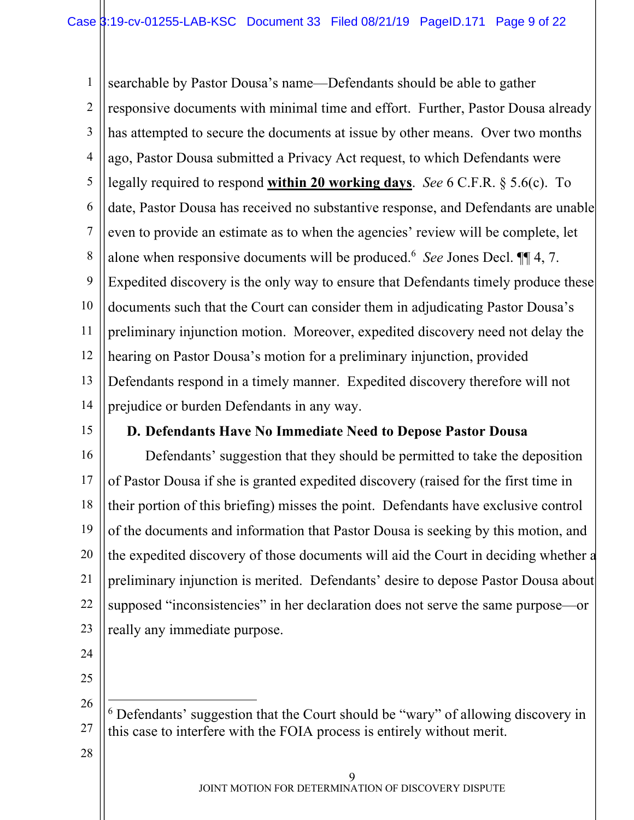1 2 3 4 5 6 7 8 9 10 11 12 13 14 searchable by Pastor Dousa's name—Defendants should be able to gather responsive documents with minimal time and effort. Further, Pastor Dousa already has attempted to secure the documents at issue by other means. Over two months ago, Pastor Dousa submitted a Privacy Act request, to which Defendants were legally required to respond **within 20 working days**. *See* 6 C.F.R. § 5.6(c). To date, Pastor Dousa has received no substantive response, and Defendants are unable even to provide an estimate as to when the agencies' review will be complete, let alone when responsive documents will be produced.<sup>6</sup> See Jones Decl.  $\P\P$  4, 7. Expedited discovery is the only way to ensure that Defendants timely produce these documents such that the Court can consider them in adjudicating Pastor Dousa's preliminary injunction motion. Moreover, expedited discovery need not delay the hearing on Pastor Dousa's motion for a preliminary injunction, provided Defendants respond in a timely manner. Expedited discovery therefore will not prejudice or burden Defendants in any way.

15

## **D. Defendants Have No Immediate Need to Depose Pastor Dousa**

16 17 18 19 20 21 22 23 Defendants' suggestion that they should be permitted to take the deposition of Pastor Dousa if she is granted expedited discovery (raised for the first time in their portion of this briefing) misses the point. Defendants have exclusive control of the documents and information that Pastor Dousa is seeking by this motion, and the expedited discovery of those documents will aid the Court in deciding whether a preliminary injunction is merited. Defendants' desire to depose Pastor Dousa about supposed "inconsistencies" in her declaration does not serve the same purpose—or really any immediate purpose.

24 25

<sup>26</sup> 27  $6$  Defendants' suggestion that the Court should be "wary" of allowing discovery in this case to interfere with the FOIA process is entirely without merit.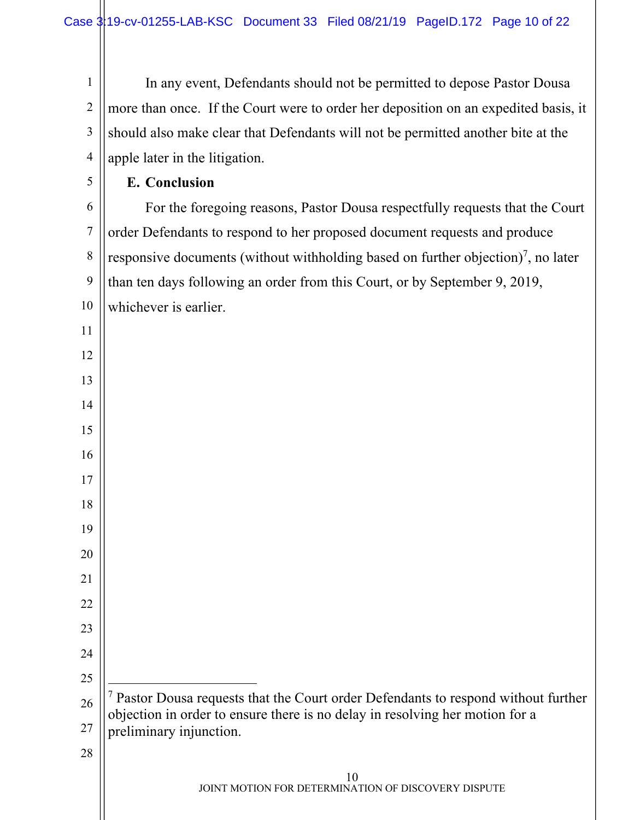In any event, Defendants should not be permitted to depose Pastor Dousa more than once. If the Court were to order her deposition on an expedited basis, it should also make clear that Defendants will not be permitted another bite at the apple later in the litigation.

**E. Conclusion**

 For the foregoing reasons, Pastor Dousa respectfully requests that the Court order Defendants to respond to her proposed document requests and produce responsive documents (without withholding based on further objection)<sup>7</sup>, no later than ten days following an order from this Court, or by September 9, 2019, whichever is earlier.

| 16 |                                                                                                         |
|----|---------------------------------------------------------------------------------------------------------|
| 17 |                                                                                                         |
| 18 |                                                                                                         |
| 19 |                                                                                                         |
| 20 |                                                                                                         |
| 21 |                                                                                                         |
| 22 |                                                                                                         |
| 23 |                                                                                                         |
| 24 |                                                                                                         |
| 25 |                                                                                                         |
| 26 | Pastor Dousa requests that the Court order Defendants to respond without further                        |
| 27 | objection in order to ensure there is no delay in resolving her motion for a<br>preliminary injunction. |
| 28 |                                                                                                         |
|    | 10<br>JOINT MOTION FOR DETERMINATION OF DISCOVERY DISPUTE                                               |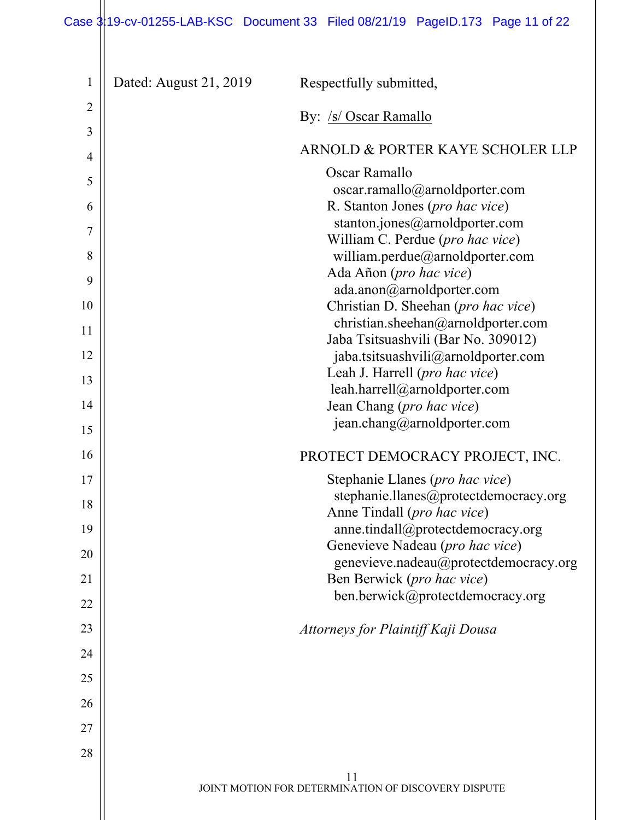# Case  $3|19$ -cv-01255-LAB-KSC Document 33 Filed 08/21/19 PageID.173 Page 11 of 22

| $\mathbf{1}$   | Dated: August 21, 2019 | Respectfully submitted,                                                   |
|----------------|------------------------|---------------------------------------------------------------------------|
| $\overline{2}$ |                        | By: /s/ Oscar Ramallo                                                     |
| 3              |                        |                                                                           |
| 4              |                        | ARNOLD & PORTER KAYE SCHOLER LLP                                          |
| 5              |                        | Oscar Ramallo                                                             |
| 6              |                        | oscar.ramallo@arnoldporter.com<br>R. Stanton Jones (pro hac vice)         |
| 7              |                        | stanton.jones@arnoldporter.com                                            |
| 8              |                        | William C. Perdue (pro hac vice)<br>william.perdue@arnoldporter.com       |
|                |                        | Ada Añon (pro hac vice)                                                   |
| 9              |                        | ada.anon@arnoldporter.com                                                 |
| 10             |                        | Christian D. Sheehan (pro hac vice)<br>christian.sheehan@arnoldporter.com |
| 11             |                        | Jaba Tsitsuashvili (Bar No. 309012)                                       |
| 12             |                        | jaba.tsitsuashvili@arnoldporter.com                                       |
| 13             |                        | Leah J. Harrell (pro hac vice)<br>leah.harrell@arnoldporter.com           |
| 14             |                        | Jean Chang (pro hac vice)                                                 |
| 15             |                        | jean.chang@arnoldporter.com                                               |
| 16             |                        | PROTECT DEMOCRACY PROJECT, INC.                                           |
| 17             |                        | Stephanie Llanes (pro hac vice)                                           |
| 18             |                        | stephanie.llanes@protectdemocracy.org<br>Anne Tindall (pro hac vice)      |
| 19             |                        | anne.tindall@protectdemocracy.org                                         |
| 20             |                        | Genevieve Nadeau (pro hac vice)<br>genevieve.nadeau@protectdemocracy.org  |
| 21             |                        | Ben Berwick (pro hac vice)                                                |
| 22             |                        | ben.berwick@protectdemocracy.org                                          |
| 23             |                        | Attorneys for Plaintiff Kaji Dousa                                        |
| 24             |                        |                                                                           |
| 25             |                        |                                                                           |
| 26             |                        |                                                                           |
| 27             |                        |                                                                           |
| 28             |                        |                                                                           |
|                |                        | 11                                                                        |
|                |                        | JOINT MOTION FOR DETERMINATION OF DISCOVERY DISPUTE                       |
|                |                        |                                                                           |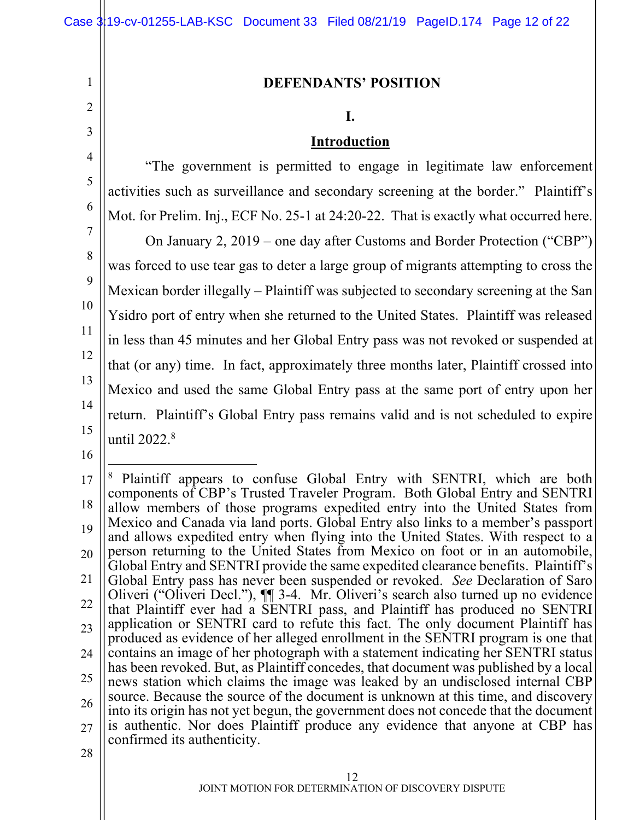#### **DEFENDANTS' POSITION**

#### **I.**

#### **Introduction**

4 5 6 7 8 9 10 11 12 13 14 15 "The government is permitted to engage in legitimate law enforcement activities such as surveillance and secondary screening at the border." Plaintiff's Mot. for Prelim. Inj., ECF No. 25-1 at 24:20-22. That is exactly what occurred here. On January 2, 2019 – one day after Customs and Border Protection ("CBP") was forced to use tear gas to deter a large group of migrants attempting to cross the Mexican border illegally – Plaintiff was subjected to secondary screening at the San Ysidro port of entry when she returned to the United States. Plaintiff was released in less than 45 minutes and her Global Entry pass was not revoked or suspended at that (or any) time. In fact, approximately three months later, Plaintiff crossed into Mexico and used the same Global Entry pass at the same port of entry upon her return. Plaintiff's Global Entry pass remains valid and is not scheduled to expire until 2022.<sup>8</sup>

16

1

2

<sup>17</sup> 18 19 20 21 22 23 24 25 26 27 28 Plaintiff appears to confuse Global Entry with SENTRI, which are both components of CBP's Trusted Traveler Program. Both Global Entry and SENTRI allow members of those programs expedited entry into the United States from Mexico and Canada via land ports. Global Entry also links to a member's passport and allows expedited entry when flying into the United States. With respect to a person returning to the United States from Mexico on foot or in an automobile, Global Entry and SENTRI provide the same expedited clearance benefits. Plaintiff's Global Entry pass has never been suspended or revoked. *See* Declaration of Saro Oliveri ("Oliveri Decl."), ¶¶ 3-4. Mr. Oliveri's search also turned up no evidence that Plaintiff ever had a SENTRI pass, and Plaintiff has produced no SENTRI application or SENTRI card to refute this fact. The only document Plaintiff has produced as evidence of her alleged enrollment in the SENTRI program is one that contains an image of her photograph with a statement indicating her SENTRI status has been revoked. But, as Plaintiff concedes, that document was published by a local news station which claims the image was leaked by an undisclosed internal CBP source. Because the source of the document is unknown at this time, and discovery into its origin has not yet begun, the government does not concede that the document is authentic. Nor does Plaintiff produce any evidence that anyone at CBP has confirmed its authenticity.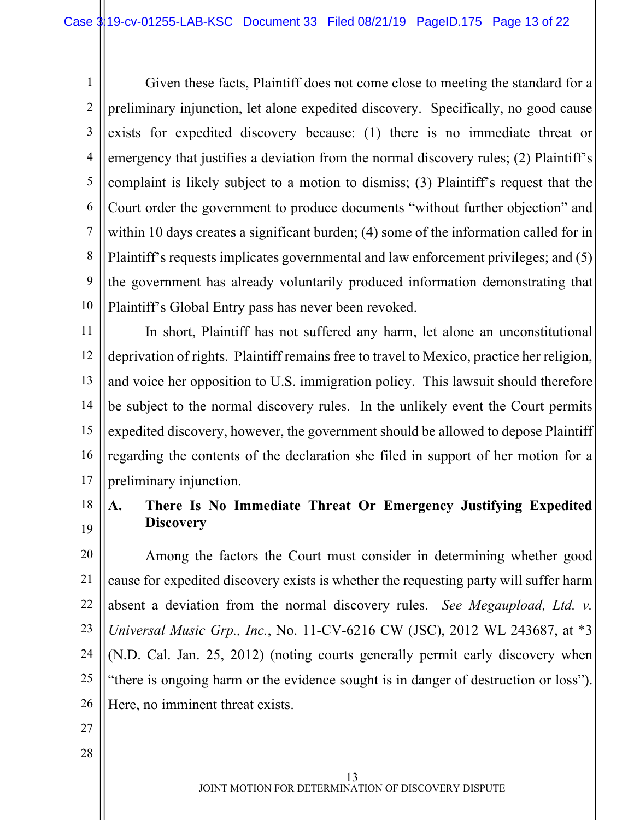1 2 3 4 5 6 7 8 9 10 Given these facts, Plaintiff does not come close to meeting the standard for a preliminary injunction, let alone expedited discovery. Specifically, no good cause exists for expedited discovery because: (1) there is no immediate threat or emergency that justifies a deviation from the normal discovery rules; (2) Plaintiff's complaint is likely subject to a motion to dismiss; (3) Plaintiff's request that the Court order the government to produce documents "without further objection" and within 10 days creates a significant burden; (4) some of the information called for in Plaintiff's requests implicates governmental and law enforcement privileges; and (5) the government has already voluntarily produced information demonstrating that Plaintiff's Global Entry pass has never been revoked.

11 12 13 14 15 16 17 In short, Plaintiff has not suffered any harm, let alone an unconstitutional deprivation of rights. Plaintiff remains free to travel to Mexico, practice her religion, and voice her opposition to U.S. immigration policy. This lawsuit should therefore be subject to the normal discovery rules. In the unlikely event the Court permits expedited discovery, however, the government should be allowed to depose Plaintiff regarding the contents of the declaration she filed in support of her motion for a preliminary injunction.

18 19 **A. There Is No Immediate Threat Or Emergency Justifying Expedited Discovery**

20 21 22 23 24 25 26 Among the factors the Court must consider in determining whether good cause for expedited discovery exists is whether the requesting party will suffer harm absent a deviation from the normal discovery rules. *See Megaupload, Ltd. v. Universal Music Grp., Inc.*, No. 11-CV-6216 CW (JSC), 2012 WL 243687, at \*3 (N.D. Cal. Jan. 25, 2012) (noting courts generally permit early discovery when "there is ongoing harm or the evidence sought is in danger of destruction or loss"). Here, no imminent threat exists.

- 27
- 28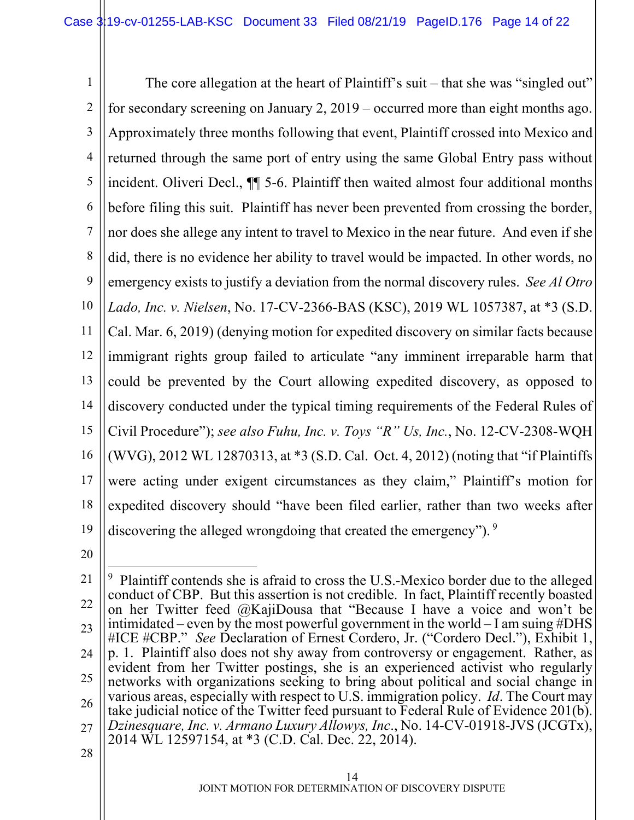1 2 3 4 5 6 7 8 9 10 11 12 13 14 15 16 17 18 19 The core allegation at the heart of Plaintiff's suit – that she was "singled out" for secondary screening on January 2, 2019 – occurred more than eight months ago. Approximately three months following that event, Plaintiff crossed into Mexico and returned through the same port of entry using the same Global Entry pass without incident. Oliveri Decl., ¶¶ 5-6. Plaintiff then waited almost four additional months before filing this suit. Plaintiff has never been prevented from crossing the border, nor does she allege any intent to travel to Mexico in the near future. And even if she did, there is no evidence her ability to travel would be impacted. In other words, no emergency exists to justify a deviation from the normal discovery rules. *See Al Otro Lado, Inc. v. Nielsen*, No. 17-CV-2366-BAS (KSC), 2019 WL 1057387, at \*3 (S.D. Cal. Mar. 6, 2019) (denying motion for expedited discovery on similar facts because immigrant rights group failed to articulate "any imminent irreparable harm that could be prevented by the Court allowing expedited discovery, as opposed to discovery conducted under the typical timing requirements of the Federal Rules of Civil Procedure"); *see also Fuhu, Inc. v. Toys "R" Us, Inc.*, No. 12-CV-2308-WQH (WVG), 2012 WL 12870313, at \*3 (S.D. Cal. Oct. 4, 2012) (noting that "if Plaintiffs were acting under exigent circumstances as they claim," Plaintiff's motion for expedited discovery should "have been filed earlier, rather than two weeks after discovering the alleged wrongdoing that created the emergency").  $9$ 

<sup>21</sup> 22 23 24 25 26 27 28 9 Plaintiff contends she is afraid to cross the U.S.-Mexico border due to the alleged conduct of CBP. But this assertion is not credible. In fact, Plaintiff recently boasted on her Twitter feed @KajiDousa that "Because I have a voice and won't be intimidated – even by the most powerful government in the world – I am suing #DHS #ICE #CBP." *See* Declaration of Ernest Cordero, Jr. ("Cordero Decl."), Exhibit 1, p. 1. Plaintiff also does not shy away from controversy or engagement. Rather, as evident from her Twitter postings, she is an experienced activist who regularly networks with organizations seeking to bring about political and social change in various areas, especially with respect to U.S. immigration policy. *Id*. The Court may take judicial notice of the Twitter feed pursuant to Federal Rule of Evidence 201(b). *Dzinesquare, Inc. v. Armano Luxury Allowys, Inc*., No. 14-CV-01918-JVS (JCGTx), 2014 WL 12597154, at \*3 (C.D. Cal. Dec. 22, 2014).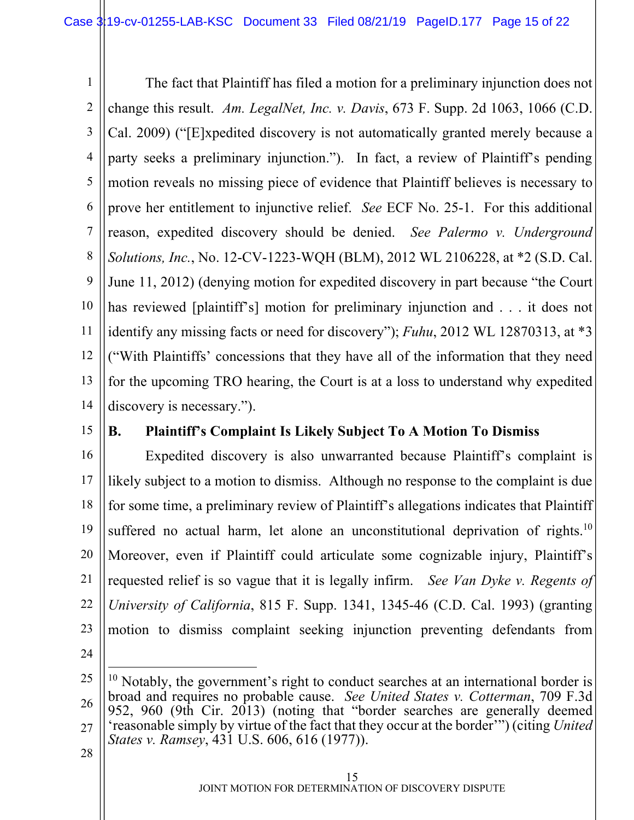1 2 3 4 5 6 7 8 9 10 11 12 13 14 The fact that Plaintiff has filed a motion for a preliminary injunction does not change this result. *Am. LegalNet, Inc. v. Davis*, 673 F. Supp. 2d 1063, 1066 (C.D. Cal. 2009) ("[E]xpedited discovery is not automatically granted merely because a party seeks a preliminary injunction."). In fact, a review of Plaintiff's pending motion reveals no missing piece of evidence that Plaintiff believes is necessary to prove her entitlement to injunctive relief. *See* ECF No. 25-1. For this additional reason, expedited discovery should be denied. *See Palermo v. Underground Solutions, Inc.*, No. 12-CV-1223-WQH (BLM), 2012 WL 2106228, at \*2 (S.D. Cal. June 11, 2012) (denying motion for expedited discovery in part because "the Court has reviewed [plaintiff's] motion for preliminary injunction and . . . it does not identify any missing facts or need for discovery"); *Fuhu*, 2012 WL 12870313, at \*3 ("With Plaintiffs' concessions that they have all of the information that they need for the upcoming TRO hearing, the Court is at a loss to understand why expedited discovery is necessary.").

15

# **B. Plaintiff's Complaint Is Likely Subject To A Motion To Dismiss**

16 17 18 19 20 21 22 23 Expedited discovery is also unwarranted because Plaintiff's complaint is likely subject to a motion to dismiss. Although no response to the complaint is due for some time, a preliminary review of Plaintiff's allegations indicates that Plaintiff suffered no actual harm, let alone an unconstitutional deprivation of rights.<sup>10</sup> Moreover, even if Plaintiff could articulate some cognizable injury, Plaintiff's requested relief is so vague that it is legally infirm. *See Van Dyke v. Regents of University of California*, 815 F. Supp. 1341, 1345-46 (C.D. Cal. 1993) (granting motion to dismiss complaint seeking injunction preventing defendants from

24

<sup>25</sup> 26 27  $10$  Notably, the government's right to conduct searches at an international border is broad and requires no probable cause. *See United States v. Cotterman*, 709 F.3d 952, 960 (9th Cir. 2013) (noting that "border searches are generally deemed 'reasonable simply by virtue of the fact that they occur at the border'") (citing *United States v. Ramsey*, 431 U.S. 606, 616 (1977)).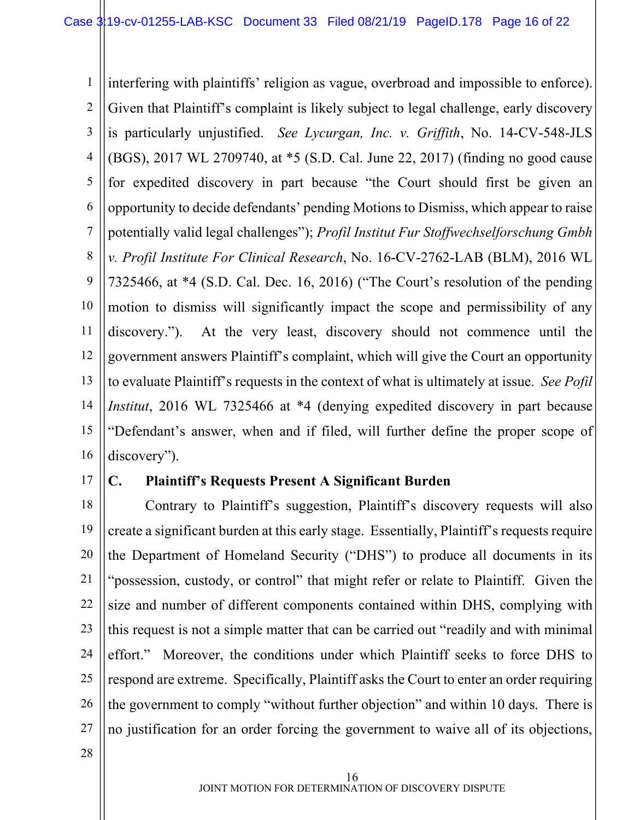1 2 3 4 5 6 7 8 9 10 11 12 13 14 15 16 interfering with plaintiffs' religion as vague, overbroad and impossible to enforce). Given that Plaintiff's complaint is likely subject to legal challenge, early discovery is particularly unjustified. *See Lycurgan, Inc. v. Griffith*, No. 14-CV-548-JLS (BGS), 2017 WL 2709740, at \*5 (S.D. Cal. June 22, 2017) (finding no good cause for expedited discovery in part because "the Court should first be given an opportunity to decide defendants' pending Motions to Dismiss, which appear to raise potentially valid legal challenges"); *Profil Institut Fur Stoffwechselforschung Gmbh v. Profil Institute For Clinical Research*, No. 16-CV-2762-LAB (BLM), 2016 WL 7325466, at \*4 (S.D. Cal. Dec. 16, 2016) ("The Court's resolution of the pending motion to dismiss will significantly impact the scope and permissibility of any discovery."). At the very least, discovery should not commence until the government answers Plaintiff's complaint, which will give the Court an opportunity to evaluate Plaintiff's requests in the context of what is ultimately at issue. *See Pofil Institut*, 2016 WL 7325466 at \*4 (denying expedited discovery in part because "Defendant's answer, when and if filed, will further define the proper scope of discovery").

17

### **C. Plaintiff's Requests Present A Significant Burden**

18 19 20 21 22 23 24 25 26 27 Contrary to Plaintiff's suggestion, Plaintiff's discovery requests will also create a significant burden at this early stage. Essentially, Plaintiff's requests require the Department of Homeland Security ("DHS") to produce all documents in its "possession, custody, or control" that might refer or relate to Plaintiff. Given the size and number of different components contained within DHS, complying with this request is not a simple matter that can be carried out "readily and with minimal effort." Moreover, the conditions under which Plaintiff seeks to force DHS to respond are extreme. Specifically, Plaintiff asks the Court to enter an order requiring the government to comply "without further objection" and within 10 days. There is no justification for an order forcing the government to waive all of its objections,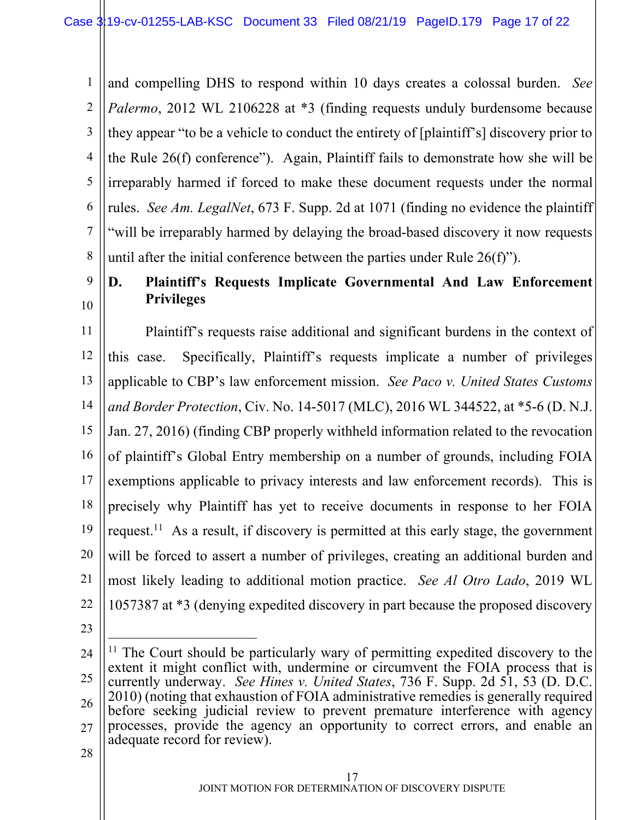1 2 3 4 5 6 7 8 and compelling DHS to respond within 10 days creates a colossal burden. *See Palermo*, 2012 WL 2106228 at \*3 (finding requests unduly burdensome because) they appear "to be a vehicle to conduct the entirety of [plaintiff's] discovery prior to the Rule 26(f) conference"). Again, Plaintiff fails to demonstrate how she will be irreparably harmed if forced to make these document requests under the normal rules. *See Am. LegalNet*, 673 F. Supp. 2d at 1071 (finding no evidence the plaintiff "will be irreparably harmed by delaying the broad-based discovery it now requests until after the initial conference between the parties under Rule 26(f)").

# 9 10

# **D. Plaintiff's Requests Implicate Governmental And Law Enforcement Privileges**

11 12 13 14 15 16 17 18 19 20 21 22 Plaintiff's requests raise additional and significant burdens in the context of this case. Specifically, Plaintiff's requests implicate a number of privileges applicable to CBP's law enforcement mission. *See Paco v. United States Customs and Border Protection*, Civ. No. 14-5017 (MLC), 2016 WL 344522, at \*5-6 (D. N.J. Jan. 27, 2016) (finding CBP properly withheld information related to the revocation of plaintiff's Global Entry membership on a number of grounds, including FOIA exemptions applicable to privacy interests and law enforcement records). This is precisely why Plaintiff has yet to receive documents in response to her FOIA request.<sup>11</sup> As a result, if discovery is permitted at this early stage, the government will be forced to assert a number of privileges, creating an additional burden and most likely leading to additional motion practice. *See Al Otro Lado*, 2019 WL 1057387 at \*3 (denying expedited discovery in part because the proposed discovery

23

<sup>24</sup> 25 26 27  $11$  The Court should be particularly wary of permitting expedited discovery to the extent it might conflict with, undermine or circumvent the FOIA process that is currently underway. *See Hines v. United States*, 736 F. Supp. 2d 51, 53 (D. D.C. 2010) (noting that exhaustion of FOIA administrative remedies is generally required before seeking judicial review to prevent premature interference with agency processes, provide the agency an opportunity to correct errors, and enable an adequate record for review).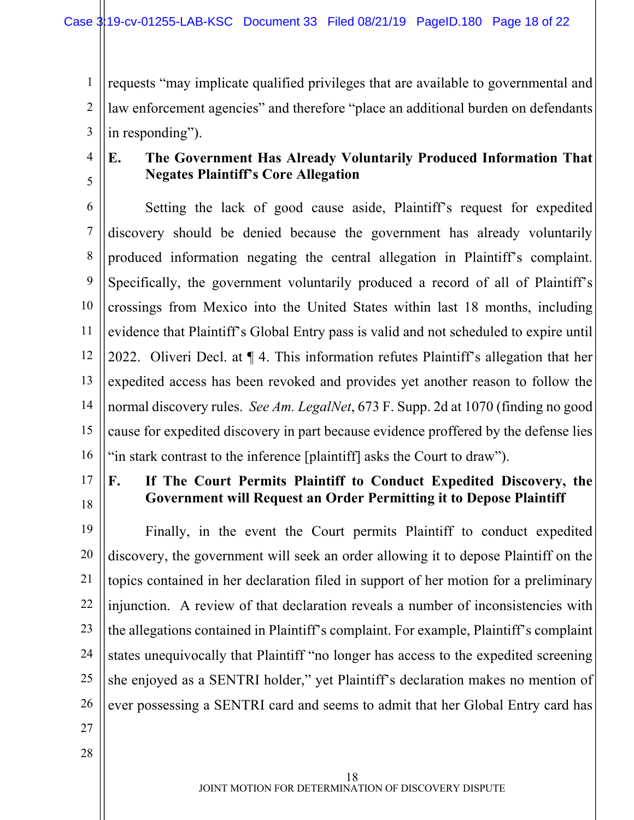1 2 3 requests "may implicate qualified privileges that are available to governmental and law enforcement agencies" and therefore "place an additional burden on defendants in responding").

4 5

# **E. The Government Has Already Voluntarily Produced Information That Negates Plaintiff's Core Allegation**

6 7 8 9 10 11 12 13 14 15 16 Setting the lack of good cause aside, Plaintiff's request for expedited discovery should be denied because the government has already voluntarily produced information negating the central allegation in Plaintiff's complaint. Specifically, the government voluntarily produced a record of all of Plaintiff's crossings from Mexico into the United States within last 18 months, including evidence that Plaintiff's Global Entry pass is valid and not scheduled to expire until 2022. Oliveri Decl. at ¶ 4. This information refutes Plaintiff's allegation that her expedited access has been revoked and provides yet another reason to follow the normal discovery rules. *See Am. LegalNet*, 673 F. Supp. 2d at 1070 (finding no good cause for expedited discovery in part because evidence proffered by the defense lies "in stark contrast to the inference [plaintiff] asks the Court to draw").

17 18

# **F. If The Court Permits Plaintiff to Conduct Expedited Discovery, the Government will Request an Order Permitting it to Depose Plaintiff**

19 20 21 22 23 24 25 26 Finally, in the event the Court permits Plaintiff to conduct expedited discovery, the government will seek an order allowing it to depose Plaintiff on the topics contained in her declaration filed in support of her motion for a preliminary injunction. A review of that declaration reveals a number of inconsistencies with the allegations contained in Plaintiff's complaint. For example, Plaintiff's complaint states unequivocally that Plaintiff "no longer has access to the expedited screening she enjoyed as a SENTRI holder," yet Plaintiff's declaration makes no mention of ever possessing a SENTRI card and seems to admit that her Global Entry card has

27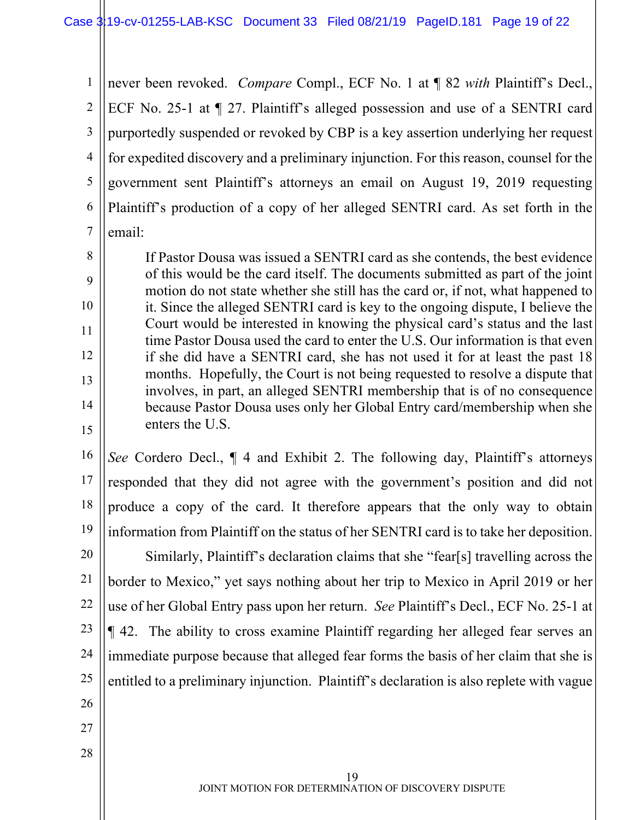1 2 3 4 5 6 7 never been revoked. *Compare* Compl., ECF No. 1 at ¶ 82 *with* Plaintiff's Decl., ECF No. 25-1 at ¶ 27. Plaintiff's alleged possession and use of a SENTRI card purportedly suspended or revoked by CBP is a key assertion underlying her request for expedited discovery and a preliminary injunction. For this reason, counsel for the government sent Plaintiff's attorneys an email on August 19, 2019 requesting Plaintiff's production of a copy of her alleged SENTRI card. As set forth in the email:

If Pastor Dousa was issued a SENTRI card as she contends, the best evidence of this would be the card itself. The documents submitted as part of the joint motion do not state whether she still has the card or, if not, what happened to it. Since the alleged SENTRI card is key to the ongoing dispute, I believe the Court would be interested in knowing the physical card's status and the last time Pastor Dousa used the card to enter the U.S. Our information is that even if she did have a SENTRI card, she has not used it for at least the past 18 months. Hopefully, the Court is not being requested to resolve a dispute that involves, in part, an alleged SENTRI membership that is of no consequence because Pastor Dousa uses only her Global Entry card/membership when she enters the U.S.

16 17 18 19 *See* Cordero Decl., ¶ 4 and Exhibit 2. The following day, Plaintiff's attorneys responded that they did not agree with the government's position and did not produce a copy of the card. It therefore appears that the only way to obtain information from Plaintiff on the status of her SENTRI card is to take her deposition.

20 21 22 23 24 25 26 Similarly, Plaintiff's declaration claims that she "fear[s] travelling across the border to Mexico," yet says nothing about her trip to Mexico in April 2019 or her use of her Global Entry pass upon her return. *See* Plaintiff's Decl., ECF No. 25-1 at ¶ 42. The ability to cross examine Plaintiff regarding her alleged fear serves an immediate purpose because that alleged fear forms the basis of her claim that she is entitled to a preliminary injunction. Plaintiff's declaration is also replete with vague

27

8

9

10

11

12

13

14

15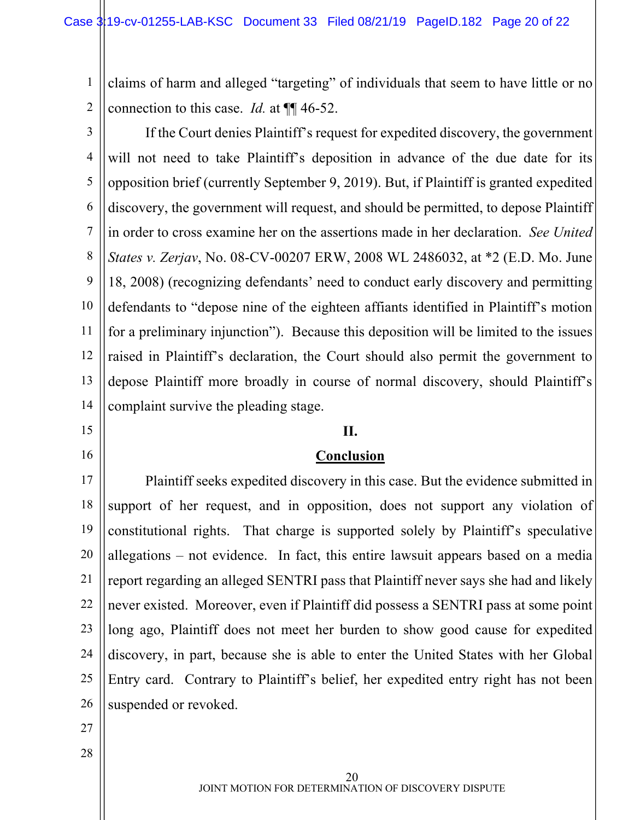1 2 claims of harm and alleged "targeting" of individuals that seem to have little or no connection to this case. *Id.* at ¶¶ 46-52.

3 4 5 6 7 8 9 10 11 12 13 14 If the Court denies Plaintiff's request for expedited discovery, the government will not need to take Plaintiff's deposition in advance of the due date for its opposition brief (currently September 9, 2019). But, if Plaintiff is granted expedited discovery, the government will request, and should be permitted, to depose Plaintiff in order to cross examine her on the assertions made in her declaration. *See United States v. Zerjav*, No. 08-CV-00207 ERW, 2008 WL 2486032, at \*2 (E.D. Mo. June 18, 2008) (recognizing defendants' need to conduct early discovery and permitting defendants to "depose nine of the eighteen affiants identified in Plaintiff's motion for a preliminary injunction"). Because this deposition will be limited to the issues raised in Plaintiff's declaration, the Court should also permit the government to depose Plaintiff more broadly in course of normal discovery, should Plaintiff's complaint survive the pleading stage.

**II.**

**Conclusion**

- 15
- 16

#### 17

#### 18 19 20 21 22 23 24 25 26 Plaintiff seeks expedited discovery in this case. But the evidence submitted in support of her request, and in opposition, does not support any violation of constitutional rights. That charge is supported solely by Plaintiff's speculative allegations – not evidence. In fact, this entire lawsuit appears based on a media report regarding an alleged SENTRI pass that Plaintiff never says she had and likely never existed. Moreover, even if Plaintiff did possess a SENTRI pass at some point long ago, Plaintiff does not meet her burden to show good cause for expedited discovery, in part, because she is able to enter the United States with her Global Entry card. Contrary to Plaintiff's belief, her expedited entry right has not been suspended or revoked.

- 27
- 28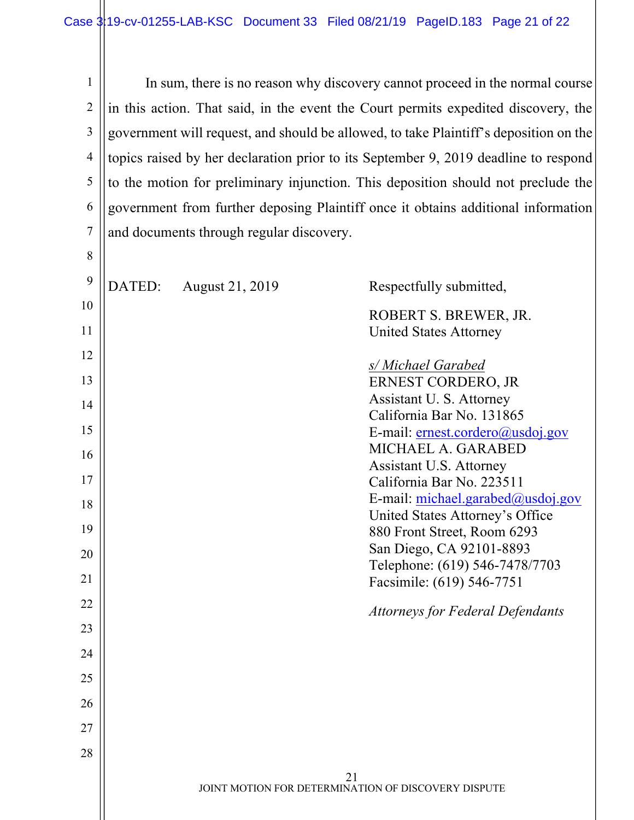1 2 3 4 5 6 7 In sum, there is no reason why discovery cannot proceed in the normal course in this action. That said, in the event the Court permits expedited discovery, the government will request, and should be allowed, to take Plaintiff's deposition on the topics raised by her declaration prior to its September 9, 2019 deadline to respond to the motion for preliminary injunction. This deposition should not preclude the government from further deposing Plaintiff once it obtains additional information and documents through regular discovery.

| 9  | DATED: | August 21, 2019 | Respectfully submitted,                              |
|----|--------|-----------------|------------------------------------------------------|
| 10 |        |                 | ROBERT S. BREWER, JR.                                |
| 11 |        |                 | <b>United States Attorney</b>                        |
| 12 |        |                 |                                                      |
| 13 |        |                 | s/ Michael Garabed<br>ERNEST CORDERO, JR             |
| 14 |        |                 | Assistant U.S. Attorney                              |
|    |        |                 | California Bar No. 131865                            |
| 15 |        |                 | E-mail: ernest.cordero@usdoj.gov                     |
| 16 |        |                 | MICHAEL A. GARABED                                   |
| 17 |        |                 | Assistant U.S. Attorney<br>California Bar No. 223511 |
|    |        |                 | E-mail: michael.garabed@usdoj.gov                    |
| 18 |        |                 | United States Attorney's Office                      |
| 19 |        |                 | 880 Front Street, Room 6293                          |
| 20 |        |                 | San Diego, CA 92101-8893                             |
|    |        |                 | Telephone: (619) 546-7478/7703                       |
| 21 |        |                 | Facsimile: (619) 546-7751                            |
| 22 |        |                 | <b>Attorneys for Federal Defendants</b>              |
| 23 |        |                 |                                                      |
| 24 |        |                 |                                                      |
| 25 |        |                 |                                                      |
| 26 |        |                 |                                                      |
| 27 |        |                 |                                                      |
| 28 |        |                 |                                                      |
|    |        |                 | 21                                                   |
|    |        |                 | JOINT MOTION FOR DETERMINATION OF DISCOVERY DISPUTE  |
|    |        |                 |                                                      |